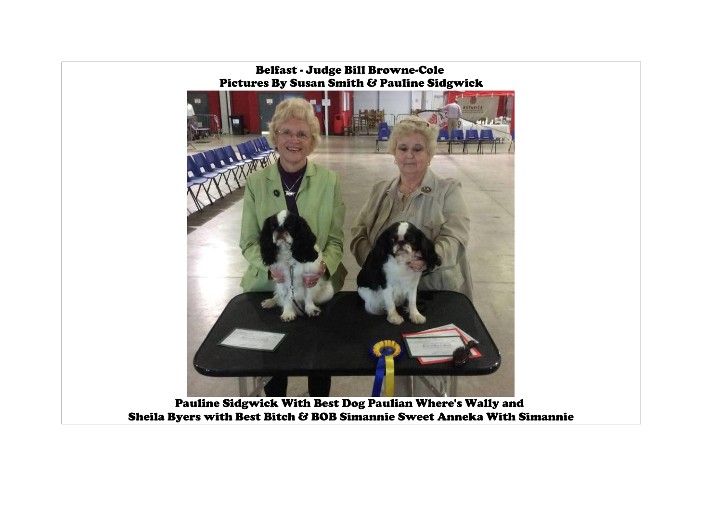Belfast - Judge Bill Browne-Cole Pictures By Susan Smith & Pauline Sidgwick



Pauline Sidgwick With Best Dog Paulian Where's Wally and Sheila Byers with Best Bitch & BOB Simannie Sweet Anneka With Simannie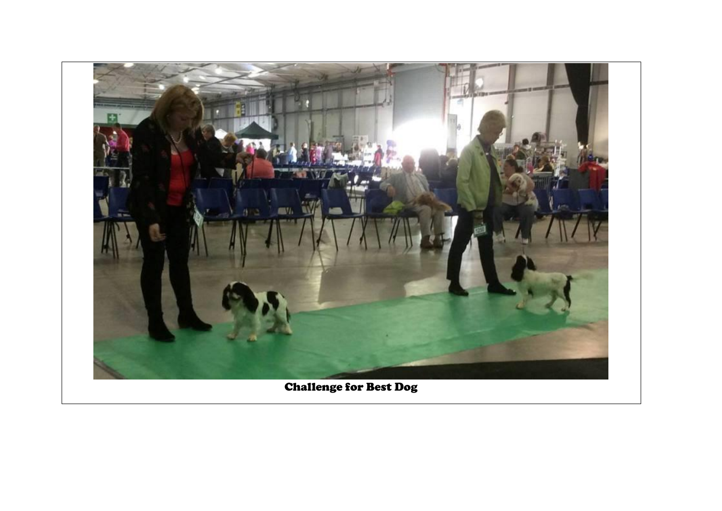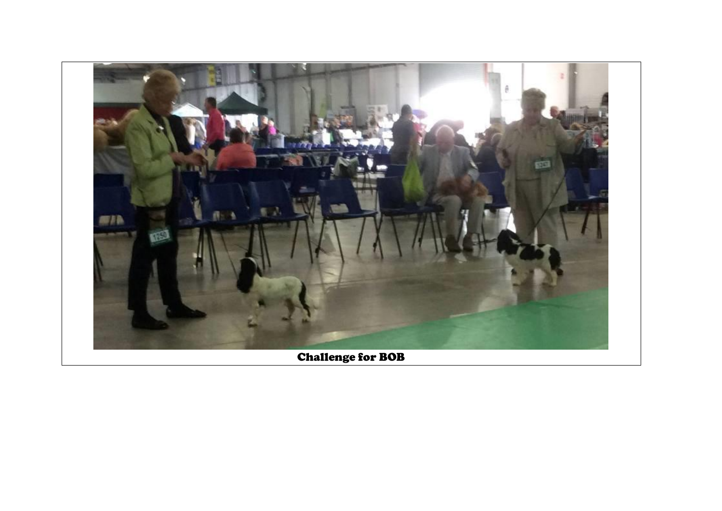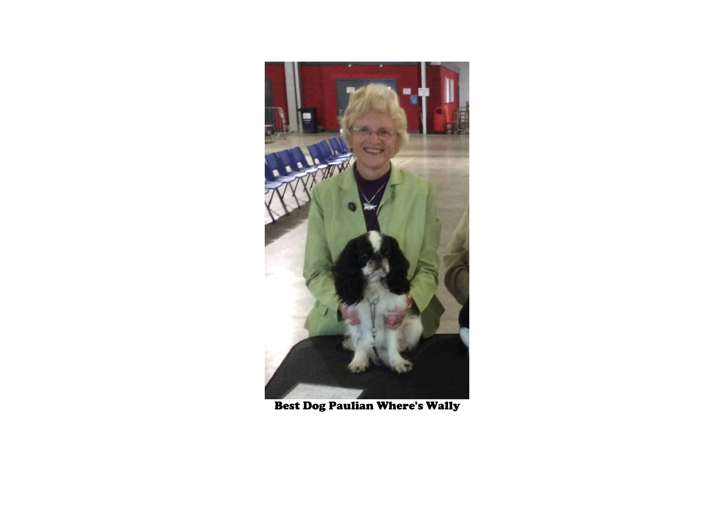

Best Dog Paulian Where's Wally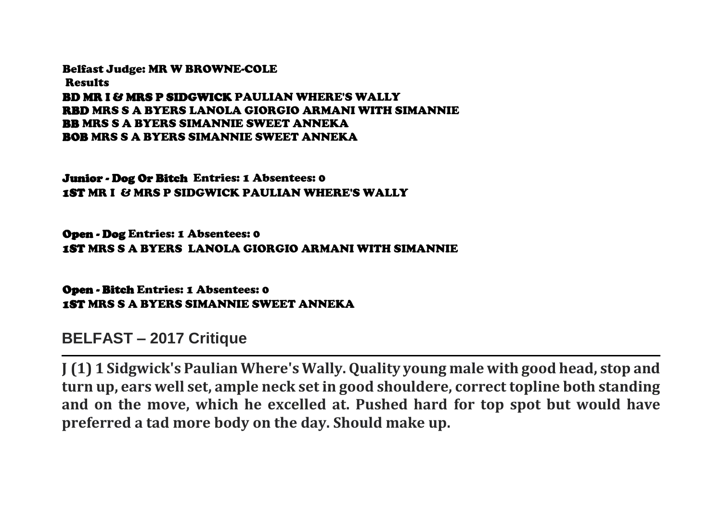Belfast Judge: MR W BROWNE-COLE Results BD MR I & MRS P SIDGWICK PAULIAN WHERE'S WALLY RBD MRS S A BYERS LANOLA GIORGIO ARMANI WITH SIMANNIE BB MRS S A BYERS SIMANNIE SWEET ANNEKA BOB MRS S A BYERS SIMANNIE SWEET ANNEKA

Junior - Dog Or Bitch Entries: 1 Absentees: 0 1ST MR I & MRS P SIDGWICK PAULIAN WHERE'S WALLY

Open - Dog Entries: 1 Absentees: 0 1ST MRS S A BYERS LANOLA GIORGIO ARMANI WITH SIMANNIE

Open - Bitch Entries: 1 Absentees: 0 1ST MRS S A BYERS SIMANNIE SWEET ANNEKA

**BELFAST – 2017 Critique**

**J (1) 1 Sidgwick's Paulian Where's Wally. Quality young male with good head, stop and turn up, ears well set, ample neck set in good shouldere, correct topline both standing and on the move, which he excelled at. Pushed hard for top spot but would have preferred a tad more body on the day. Should make up.**